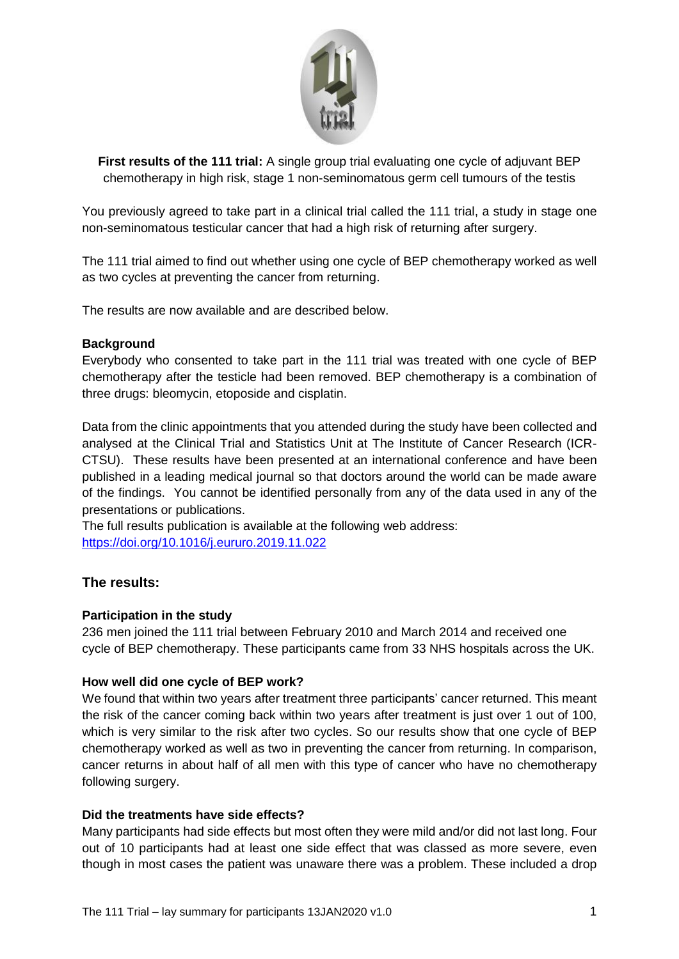

**First results of the 111 trial:** A single group trial evaluating one cycle of adjuvant BEP chemotherapy in high risk, stage 1 non-seminomatous germ cell tumours of the testis

You previously agreed to take part in a clinical trial called the 111 trial, a study in stage one non-seminomatous testicular cancer that had a high risk of returning after surgery.

The 111 trial aimed to find out whether using one cycle of BEP chemotherapy worked as well as two cycles at preventing the cancer from returning.

The results are now available and are described below.

## **Background**

Everybody who consented to take part in the 111 trial was treated with one cycle of BEP chemotherapy after the testicle had been removed. BEP chemotherapy is a combination of three drugs: bleomycin, etoposide and cisplatin.

Data from the clinic appointments that you attended during the study have been collected and analysed at the Clinical Trial and Statistics Unit at The Institute of Cancer Research (ICR-CTSU). These results have been presented at an international conference and have been published in a leading medical journal so that doctors around the world can be made aware of the findings. You cannot be identified personally from any of the data used in any of the presentations or publications.

The full results publication is available at the following web address: <https://doi.org/10.1016/j.eururo.2019.11.022>

## **The results:**

## **Participation in the study**

236 men joined the 111 trial between February 2010 and March 2014 and received one cycle of BEP chemotherapy. These participants came from 33 NHS hospitals across the UK.

### **How well did one cycle of BEP work?**

We found that within two years after treatment three participants' cancer returned. This meant the risk of the cancer coming back within two years after treatment is just over 1 out of 100, which is very similar to the risk after two cycles. So our results show that one cycle of BEP chemotherapy worked as well as two in preventing the cancer from returning. In comparison, cancer returns in about half of all men with this type of cancer who have no chemotherapy following surgery.

#### **Did the treatments have side effects?**

Many participants had side effects but most often they were mild and/or did not last long. Four out of 10 participants had at least one side effect that was classed as more severe, even though in most cases the patient was unaware there was a problem. These included a drop